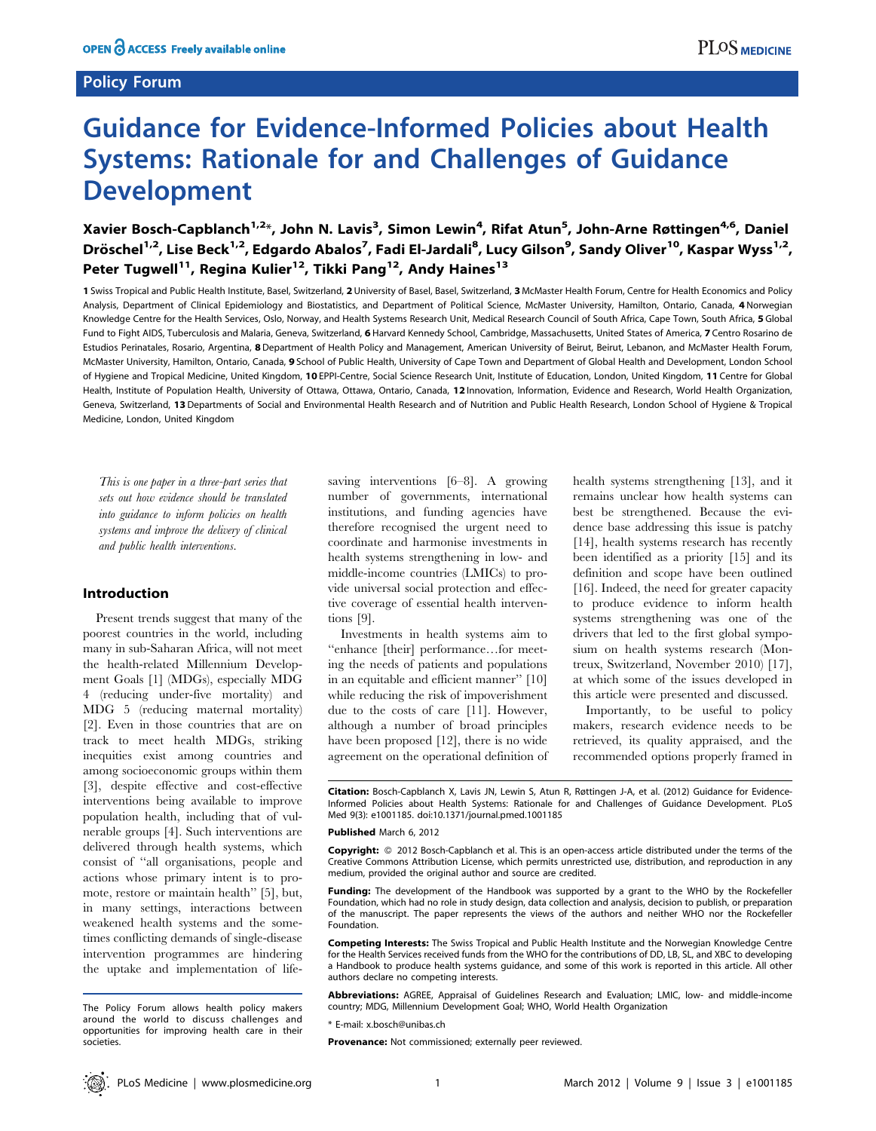## Policy Forum

# Guidance for Evidence-Informed Policies about Health Systems: Rationale for and Challenges of Guidance Development

# Xavier Bosch-Capblanch<sup>1,2</sup>\*, John N. Lavis<sup>3</sup>, Simon Lewin<sup>4</sup>, Rifat Atun<sup>5</sup>, John-Arne Røttingen<sup>4,6</sup>, Daniel Dröschel<sup>1,2</sup>, Lise Beck<sup>1,2</sup>, Edgardo Abalos<sup>7</sup>, Fadi El-Jardali<sup>8</sup>, Lucy Gilson<sup>9</sup>, Sandy Oliver<sup>10</sup>, Kaspar Wyss<sup>1,2</sup>, Peter Tugwell<sup>11</sup>, Regina Kulier<sup>12</sup>, Tikki Pang<sup>12</sup>, Andy Haines<sup>13</sup>

1 Swiss Tropical and Public Health Institute, Basel, Switzerland, 2 University of Basel, Basel, Switzerland, 3 McMaster Health Forum, Centre for Health Economics and Policy Analysis, Department of Clinical Epidemiology and Biostatistics, and Department of Political Science, McMaster University, Hamilton, Ontario, Canada, 4 Norwegian Knowledge Centre for the Health Services, Oslo, Norway, and Health Systems Research Unit, Medical Research Council of South Africa, Cape Town, South Africa, 5 Global Fund to Fight AIDS, Tuberculosis and Malaria, Geneva, Switzerland, 6 Harvard Kennedy School, Cambridge, Massachusetts, United States of America, 7 Centro Rosarino de Estudios Perinatales, Rosario, Argentina, 8 Department of Health Policy and Management, American University of Beirut, Beirut, Lebanon, and McMaster Health Forum, McMaster University, Hamilton, Ontario, Canada, 9 School of Public Health, University of Cape Town and Department of Global Health and Development, London School of Hygiene and Tropical Medicine, United Kingdom, 10 EPPI-Centre, Social Science Research Unit, Institute of Education, London, United Kingdom, 11 Centre for Global Health, Institute of Population Health, University of Ottawa, Ottawa, Ontario, Canada, 12 Innovation, Information, Evidence and Research, World Health Organization, Geneva, Switzerland, 13 Departments of Social and Environmental Health Research and of Nutrition and Public Health Research, London School of Hygiene & Tropical Medicine, London, United Kingdom

This is one paper in a three-part series that sets out how evidence should be translated into guidance to inform policies on health systems and improve the delivery of clinical and public health interventions.

## Introduction

Present trends suggest that many of the poorest countries in the world, including many in sub-Saharan Africa, will not meet the health-related Millennium Development Goals [1] (MDGs), especially MDG 4 (reducing under-five mortality) and MDG 5 (reducing maternal mortality) [2]. Even in those countries that are on track to meet health MDGs, striking inequities exist among countries and among socioeconomic groups within them [3], despite effective and cost-effective interventions being available to improve population health, including that of vulnerable groups [4]. Such interventions are delivered through health systems, which consist of ''all organisations, people and actions whose primary intent is to promote, restore or maintain health'' [5], but, in many settings, interactions between weakened health systems and the sometimes conflicting demands of single-disease intervention programmes are hindering the uptake and implementation of lifesaving interventions [6–8]. A growing number of governments, international institutions, and funding agencies have therefore recognised the urgent need to coordinate and harmonise investments in health systems strengthening in low- and middle-income countries (LMICs) to provide universal social protection and effective coverage of essential health interventions [9].

Investments in health systems aim to ''enhance [their] performance…for meeting the needs of patients and populations in an equitable and efficient manner'' [10] while reducing the risk of impoverishment due to the costs of care [11]. However, although a number of broad principles have been proposed [12], there is no wide agreement on the operational definition of health systems strengthening [13], and it remains unclear how health systems can best be strengthened. Because the evidence base addressing this issue is patchy [14], health systems research has recently been identified as a priority [15] and its definition and scope have been outlined [16]. Indeed, the need for greater capacity to produce evidence to inform health systems strengthening was one of the drivers that led to the first global symposium on health systems research (Montreux, Switzerland, November 2010) [17], at which some of the issues developed in this article were presented and discussed.

Importantly, to be useful to policy makers, research evidence needs to be retrieved, its quality appraised, and the recommended options properly framed in

Citation: Bosch-Capblanch X, Lavis JN, Lewin S, Atun R, Røttingen J-A, et al. (2012) Guidance for Evidence-Informed Policies about Health Systems: Rationale for and Challenges of Guidance Development. PLoS Med 9(3): e1001185. doi:10.1371/journal.pmed.1001185

#### Published March 6, 2012

Copyright: © 2012 Bosch-Capblanch et al. This is an open-access article distributed under the terms of the Creative Commons Attribution License, which permits unrestricted use, distribution, and reproduction in any medium, provided the original author and source are credited.

Funding: The development of the Handbook was supported by a grant to the WHO by the Rockefeller Foundation, which had no role in study design, data collection and analysis, decision to publish, or preparation of the manuscript. The paper represents the views of the authors and neither WHO nor the Rockefeller Foundation.

Competing Interests: The Swiss Tropical and Public Health Institute and the Norwegian Knowledge Centre for the Health Services received funds from the WHO for the contributions of DD, LB, SL, and XBC to developing a Handbook to produce health systems guidance, and some of this work is reported in this article. All other authors declare no competing interests.

Abbreviations: AGREE, Appraisal of Guidelines Research and Evaluation; LMIC, low- and middle-income country; MDG, Millennium Development Goal; WHO, World Health Organization

\* E-mail: x.bosch@unibas.ch

The Policy Forum allows health policy makers around the world to discuss challenges and opportunities for improving health care in their societies.

Provenance: Not commissioned; externally peer reviewed.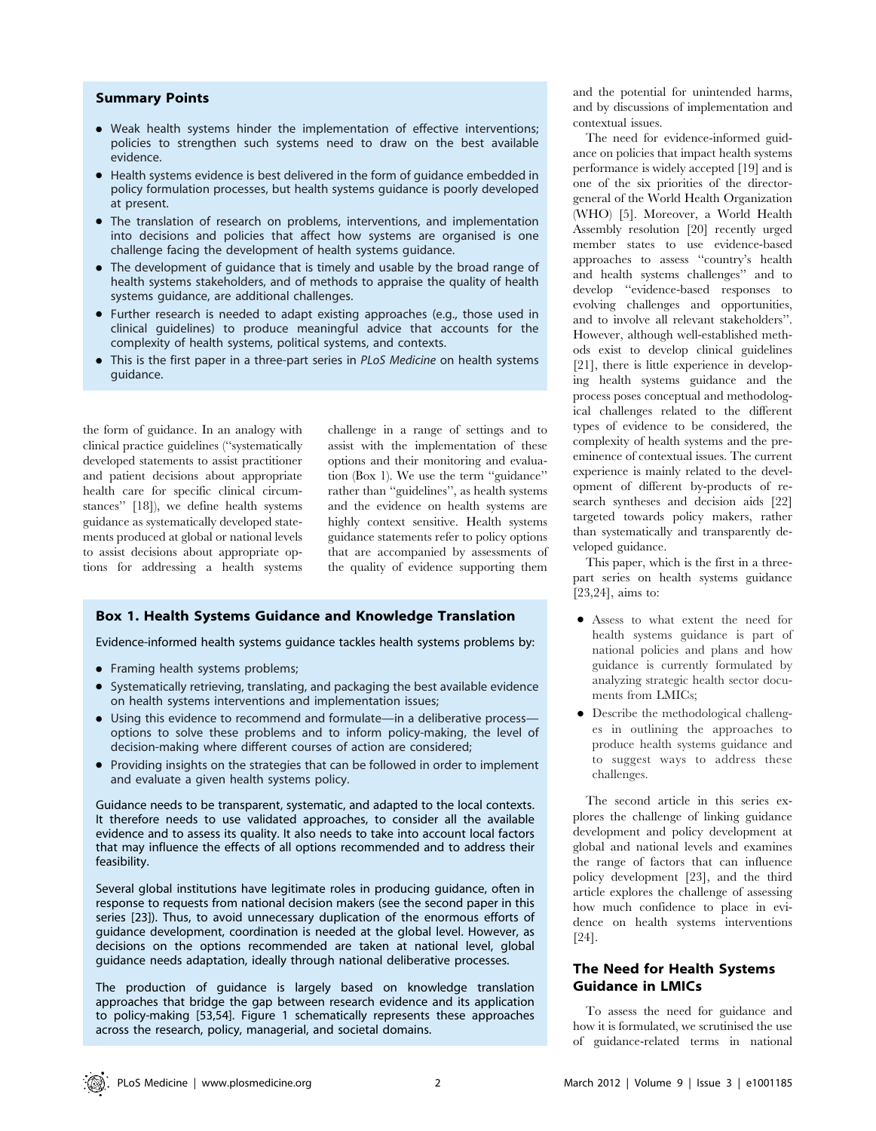## Summary Points

- Weak health systems hinder the implementation of effective interventions; policies to strengthen such systems need to draw on the best available evidence.
- Health systems evidence is best delivered in the form of quidance embedded in policy formulation processes, but health systems guidance is poorly developed at present.
- The translation of research on problems, interventions, and implementation into decisions and policies that affect how systems are organised is one challenge facing the development of health systems guidance.
- The development of quidance that is timely and usable by the broad range of health systems stakeholders, and of methods to appraise the quality of health systems guidance, are additional challenges.
- Further research is needed to adapt existing approaches (e.g., those used in clinical guidelines) to produce meaningful advice that accounts for the complexity of health systems, political systems, and contexts.
- This is the first paper in a three-part series in PLoS Medicine on health systems guidance.

the form of guidance. In an analogy with clinical practice guidelines (''systematically developed statements to assist practitioner and patient decisions about appropriate health care for specific clinical circumstances'' [18]), we define health systems guidance as systematically developed statements produced at global or national levels to assist decisions about appropriate options for addressing a health systems

challenge in a range of settings and to assist with the implementation of these options and their monitoring and evaluation (Box 1). We use the term ''guidance'' rather than ''guidelines'', as health systems and the evidence on health systems are highly context sensitive. Health systems guidance statements refer to policy options that are accompanied by assessments of the quality of evidence supporting them

## Box 1. Health Systems Guidance and Knowledge Translation

Evidence-informed health systems guidance tackles health systems problems by:

- Framing health systems problems;
- Systematically retrieving, translating, and packaging the best available evidence on health systems interventions and implementation issues;
- Using this evidence to recommend and formulate—in a deliberative process options to solve these problems and to inform policy-making, the level of decision-making where different courses of action are considered;
- Providing insights on the strategies that can be followed in order to implement and evaluate a given health systems policy.

Guidance needs to be transparent, systematic, and adapted to the local contexts. It therefore needs to use validated approaches, to consider all the available evidence and to assess its quality. It also needs to take into account local factors that may influence the effects of all options recommended and to address their feasibility.

Several global institutions have legitimate roles in producing guidance, often in response to requests from national decision makers (see the second paper in this series [23]). Thus, to avoid unnecessary duplication of the enormous efforts of guidance development, coordination is needed at the global level. However, as decisions on the options recommended are taken at national level, global guidance needs adaptation, ideally through national deliberative processes.

The production of guidance is largely based on knowledge translation approaches that bridge the gap between research evidence and its application to policy-making [53,54]. Figure 1 schematically represents these approaches across the research, policy, managerial, and societal domains.

and the potential for unintended harms, and by discussions of implementation and contextual issues.

The need for evidence-informed guidance on policies that impact health systems performance is widely accepted [19] and is one of the six priorities of the directorgeneral of the World Health Organization (WHO) [5]. Moreover, a World Health Assembly resolution [20] recently urged member states to use evidence-based approaches to assess ''country's health and health systems challenges'' and to develop ''evidence-based responses to evolving challenges and opportunities, and to involve all relevant stakeholders''. However, although well-established methods exist to develop clinical guidelines [21], there is little experience in developing health systems guidance and the process poses conceptual and methodological challenges related to the different types of evidence to be considered, the complexity of health systems and the preeminence of contextual issues. The current experience is mainly related to the development of different by-products of research syntheses and decision aids [22] targeted towards policy makers, rather than systematically and transparently developed guidance.

This paper, which is the first in a threepart series on health systems guidance [23,24], aims to:

- Assess to what extent the need for health systems guidance is part of national policies and plans and how guidance is currently formulated by analyzing strategic health sector documents from LMICs:
- $\bullet$  Describe the methodological challenges in outlining the approaches to produce health systems guidance and to suggest ways to address these challenges.

The second article in this series explores the challenge of linking guidance development and policy development at global and national levels and examines the range of factors that can influence policy development [23], and the third article explores the challenge of assessing how much confidence to place in evidence on health systems interventions [24].

## The Need for Health Systems Guidance in LMICs

To assess the need for guidance and how it is formulated, we scrutinised the use of guidance-related terms in national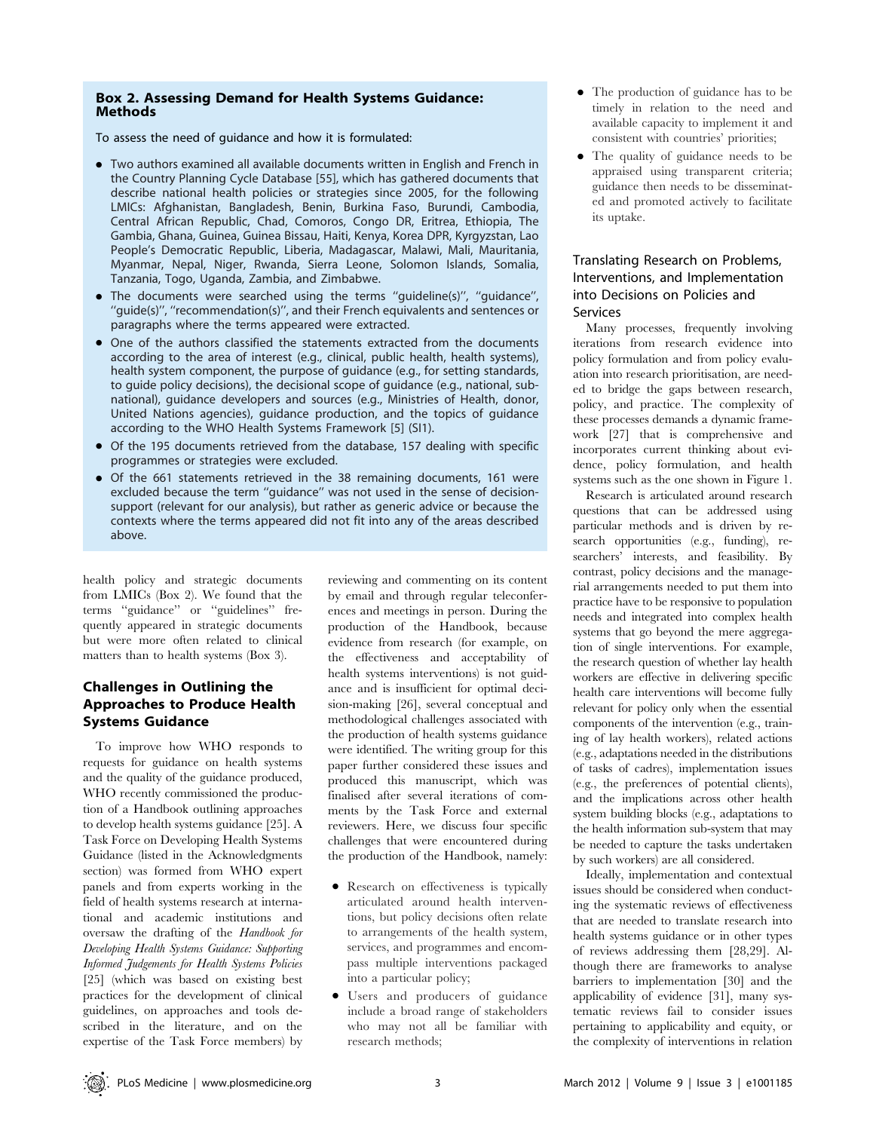## Box 2. Assessing Demand for Health Systems Guidance: Methods

To assess the need of guidance and how it is formulated:

- Two authors examined all available documents written in English and French in the Country Planning Cycle Database [55], which has gathered documents that describe national health policies or strategies since 2005, for the following LMICs: Afghanistan, Bangladesh, Benin, Burkina Faso, Burundi, Cambodia, Central African Republic, Chad, Comoros, Congo DR, Eritrea, Ethiopia, The Gambia, Ghana, Guinea, Guinea Bissau, Haiti, Kenya, Korea DPR, Kyrgyzstan, Lao People's Democratic Republic, Liberia, Madagascar, Malawi, Mali, Mauritania, Myanmar, Nepal, Niger, Rwanda, Sierra Leone, Solomon Islands, Somalia, Tanzania, Togo, Uganda, Zambia, and Zimbabwe.
- The documents were searched using the terms "guideline(s)", "guidance", "guide(s)", "recommendation(s)", and their French equivalents and sentences or paragraphs where the terms appeared were extracted.
- One of the authors classified the statements extracted from the documents according to the area of interest (e.g., clinical, public health, health systems), health system component, the purpose of guidance (e.g., for setting standards, to guide policy decisions), the decisional scope of guidance (e.g., national, subnational), guidance developers and sources (e.g., Ministries of Health, donor, United Nations agencies), guidance production, and the topics of guidance according to the WHO Health Systems Framework [5] (SI1).
- Of the 195 documents retrieved from the database, 157 dealing with specific programmes or strategies were excluded.
- N Of the 661 statements retrieved in the 38 remaining documents, 161 were excluded because the term ''guidance'' was not used in the sense of decisionsupport (relevant for our analysis), but rather as generic advice or because the contexts where the terms appeared did not fit into any of the areas described above.

health policy and strategic documents from LMICs (Box 2). We found that the terms ''guidance'' or ''guidelines'' frequently appeared in strategic documents but were more often related to clinical matters than to health systems (Box 3).

# Challenges in Outlining the Approaches to Produce Health Systems Guidance

To improve how WHO responds to requests for guidance on health systems and the quality of the guidance produced, WHO recently commissioned the production of a Handbook outlining approaches to develop health systems guidance [25]. A Task Force on Developing Health Systems Guidance (listed in the Acknowledgments section) was formed from WHO expert panels and from experts working in the field of health systems research at international and academic institutions and oversaw the drafting of the Handbook for Developing Health Systems Guidance: Supporting Informed Judgements for Health Systems Policies [25] (which was based on existing best practices for the development of clinical guidelines, on approaches and tools described in the literature, and on the expertise of the Task Force members) by

reviewing and commenting on its content by email and through regular teleconferences and meetings in person. During the production of the Handbook, because evidence from research (for example, on the effectiveness and acceptability of health systems interventions) is not guidance and is insufficient for optimal decision-making [26], several conceptual and methodological challenges associated with the production of health systems guidance were identified. The writing group for this paper further considered these issues and produced this manuscript, which was finalised after several iterations of comments by the Task Force and external reviewers. Here, we discuss four specific challenges that were encountered during the production of the Handbook, namely:

- Research on effectiveness is typically articulated around health interventions, but policy decisions often relate to arrangements of the health system, services, and programmes and encompass multiple interventions packaged into a particular policy;
- $\bullet$  Users and producers of guidance include a broad range of stakeholders who may not all be familiar with research methods;
- The production of guidance has to be timely in relation to the need and available capacity to implement it and consistent with countries' priorities;
- The quality of guidance needs to be appraised using transparent criteria; guidance then needs to be disseminated and promoted actively to facilitate its uptake.

# Translating Research on Problems, Interventions, and Implementation into Decisions on Policies and Services

Many processes, frequently involving iterations from research evidence into policy formulation and from policy evaluation into research prioritisation, are needed to bridge the gaps between research, policy, and practice. The complexity of these processes demands a dynamic framework [27] that is comprehensive and incorporates current thinking about evidence, policy formulation, and health systems such as the one shown in Figure 1.

Research is articulated around research questions that can be addressed using particular methods and is driven by research opportunities (e.g., funding), researchers' interests, and feasibility. By contrast, policy decisions and the managerial arrangements needed to put them into practice have to be responsive to population needs and integrated into complex health systems that go beyond the mere aggregation of single interventions. For example, the research question of whether lay health workers are effective in delivering specific health care interventions will become fully relevant for policy only when the essential components of the intervention (e.g., training of lay health workers), related actions (e.g., adaptations needed in the distributions of tasks of cadres), implementation issues (e.g., the preferences of potential clients), and the implications across other health system building blocks (e.g., adaptations to the health information sub-system that may be needed to capture the tasks undertaken by such workers) are all considered.

Ideally, implementation and contextual issues should be considered when conducting the systematic reviews of effectiveness that are needed to translate research into health systems guidance or in other types of reviews addressing them [28,29]. Although there are frameworks to analyse barriers to implementation [30] and the applicability of evidence [31], many systematic reviews fail to consider issues pertaining to applicability and equity, or the complexity of interventions in relation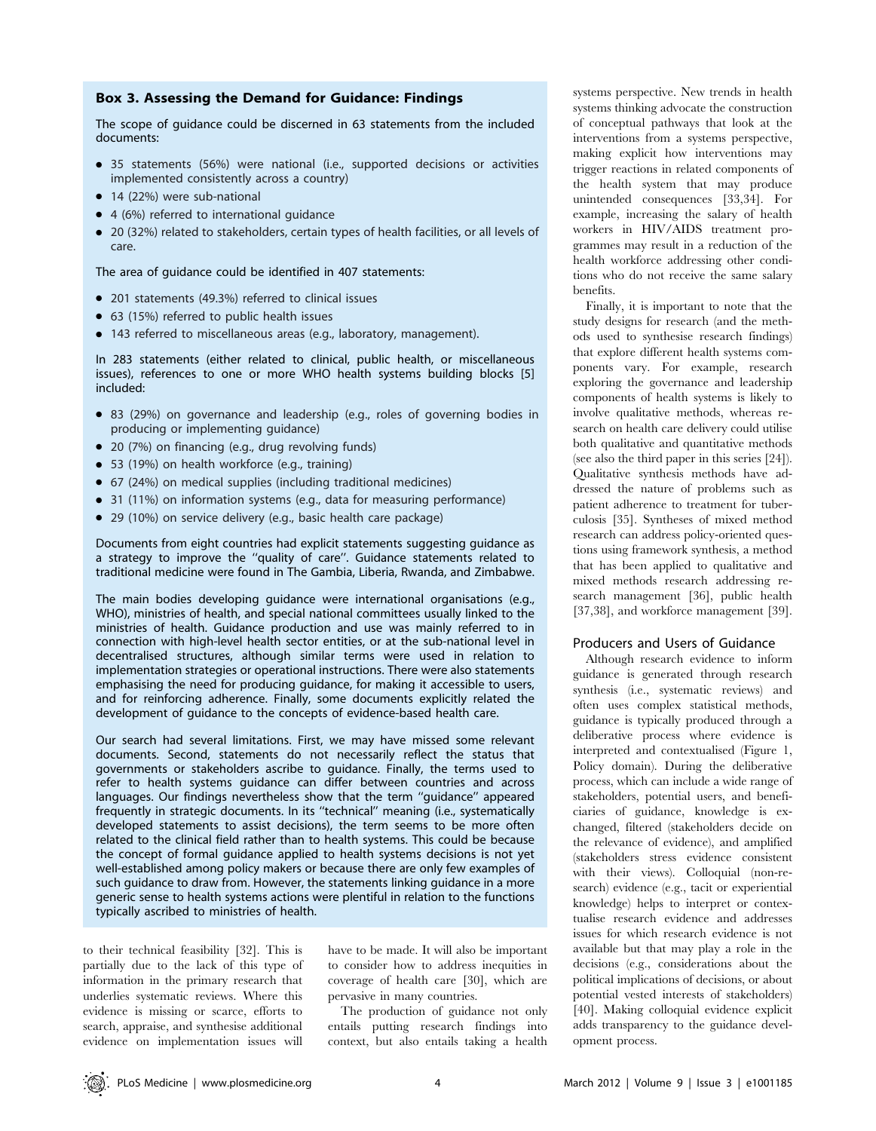## Box 3. Assessing the Demand for Guidance: Findings

The scope of guidance could be discerned in 63 statements from the included documents:

- 35 statements (56%) were national (i.e., supported decisions or activities implemented consistently across a country)
- $\bullet$  14 (22%) were sub-national
- $\bullet$  4 (6%) referred to international quidance
- 20 (32%) related to stakeholders, certain types of health facilities, or all levels of care.

The area of guidance could be identified in 407 statements:

- 201 statements (49.3%) referred to clinical issues
- $\bullet$  63 (15%) referred to public health issues
- $\bullet$  143 referred to miscellaneous areas (e.g., laboratory, management).

In 283 statements (either related to clinical, public health, or miscellaneous issues), references to one or more WHO health systems building blocks [5] included:

- 83 (29%) on governance and leadership (e.g., roles of governing bodies in producing or implementing guidance)
- 20 (7%) on financing (e.g., drug revolving funds)
- $\bullet$  53 (19%) on health workforce (e.g., training)
- 67 (24%) on medical supplies (including traditional medicines)
- 31 (11%) on information systems (e.g., data for measuring performance)
- 29 (10%) on service delivery (e.g., basic health care package)

Documents from eight countries had explicit statements suggesting guidance as a strategy to improve the ''quality of care''. Guidance statements related to traditional medicine were found in The Gambia, Liberia, Rwanda, and Zimbabwe.

The main bodies developing guidance were international organisations (e.g., WHO), ministries of health, and special national committees usually linked to the ministries of health. Guidance production and use was mainly referred to in connection with high-level health sector entities, or at the sub-national level in decentralised structures, although similar terms were used in relation to implementation strategies or operational instructions. There were also statements emphasising the need for producing guidance, for making it accessible to users, and for reinforcing adherence. Finally, some documents explicitly related the development of guidance to the concepts of evidence-based health care.

Our search had several limitations. First, we may have missed some relevant documents. Second, statements do not necessarily reflect the status that governments or stakeholders ascribe to guidance. Finally, the terms used to refer to health systems guidance can differ between countries and across languages. Our findings nevertheless show that the term ''guidance'' appeared frequently in strategic documents. In its ''technical'' meaning (i.e., systematically developed statements to assist decisions), the term seems to be more often related to the clinical field rather than to health systems. This could be because the concept of formal guidance applied to health systems decisions is not yet well-established among policy makers or because there are only few examples of such guidance to draw from. However, the statements linking guidance in a more generic sense to health systems actions were plentiful in relation to the functions typically ascribed to ministries of health.

to their technical feasibility [32]. This is partially due to the lack of this type of information in the primary research that underlies systematic reviews. Where this evidence is missing or scarce, efforts to search, appraise, and synthesise additional evidence on implementation issues will

have to be made. It will also be important to consider how to address inequities in coverage of health care [30], which are pervasive in many countries.

The production of guidance not only entails putting research findings into context, but also entails taking a health systems perspective. New trends in health systems thinking advocate the construction of conceptual pathways that look at the interventions from a systems perspective, making explicit how interventions may trigger reactions in related components of the health system that may produce unintended consequences [33,34]. For example, increasing the salary of health workers in HIV/AIDS treatment programmes may result in a reduction of the health workforce addressing other conditions who do not receive the same salary benefits.

Finally, it is important to note that the study designs for research (and the methods used to synthesise research findings) that explore different health systems components vary. For example, research exploring the governance and leadership components of health systems is likely to involve qualitative methods, whereas research on health care delivery could utilise both qualitative and quantitative methods (see also the third paper in this series [24]). Qualitative synthesis methods have addressed the nature of problems such as patient adherence to treatment for tuberculosis [35]. Syntheses of mixed method research can address policy-oriented questions using framework synthesis, a method that has been applied to qualitative and mixed methods research addressing research management [36], public health [37,38], and workforce management [39].

#### Producers and Users of Guidance

Although research evidence to inform guidance is generated through research synthesis (i.e., systematic reviews) and often uses complex statistical methods, guidance is typically produced through a deliberative process where evidence is interpreted and contextualised (Figure 1, Policy domain). During the deliberative process, which can include a wide range of stakeholders, potential users, and beneficiaries of guidance, knowledge is exchanged, filtered (stakeholders decide on the relevance of evidence), and amplified (stakeholders stress evidence consistent with their views). Colloquial (non-research) evidence (e.g., tacit or experiential knowledge) helps to interpret or contextualise research evidence and addresses issues for which research evidence is not available but that may play a role in the decisions (e.g., considerations about the political implications of decisions, or about potential vested interests of stakeholders) [40]. Making colloquial evidence explicit adds transparency to the guidance development process.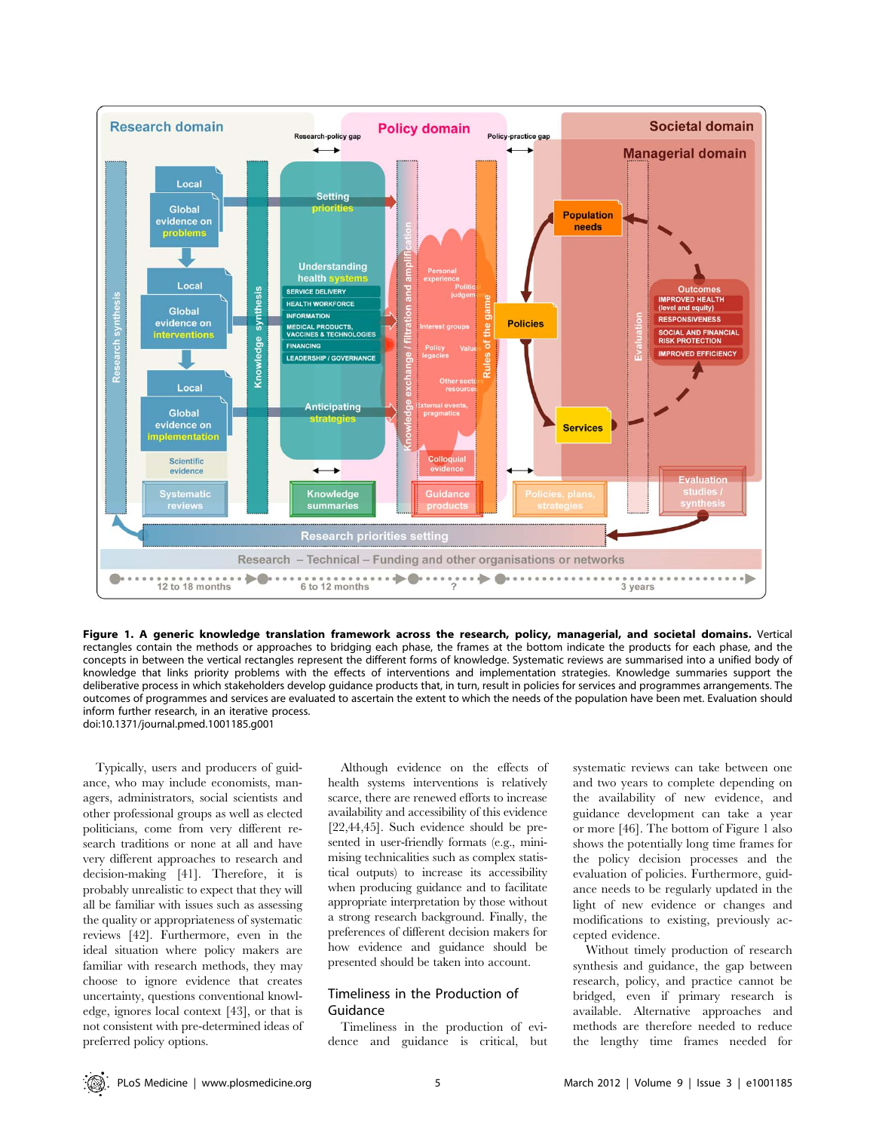

Figure 1. A generic knowledge translation framework across the research, policy, managerial, and societal domains. Vertical rectangles contain the methods or approaches to bridging each phase, the frames at the bottom indicate the products for each phase, and the concepts in between the vertical rectangles represent the different forms of knowledge. Systematic reviews are summarised into a unified body of knowledge that links priority problems with the effects of interventions and implementation strategies. Knowledge summaries support the deliberative process in which stakeholders develop guidance products that, in turn, result in policies for services and programmes arrangements. The outcomes of programmes and services are evaluated to ascertain the extent to which the needs of the population have been met. Evaluation should inform further research, in an iterative process. doi:10.1371/journal.pmed.1001185.g001

Typically, users and producers of guidance, who may include economists, managers, administrators, social scientists and other professional groups as well as elected politicians, come from very different research traditions or none at all and have very different approaches to research and decision-making [41]. Therefore, it is probably unrealistic to expect that they will all be familiar with issues such as assessing the quality or appropriateness of systematic reviews [42]. Furthermore, even in the ideal situation where policy makers are familiar with research methods, they may choose to ignore evidence that creates uncertainty, questions conventional knowledge, ignores local context [43], or that is not consistent with pre-determined ideas of preferred policy options.

Although evidence on the effects of health systems interventions is relatively scarce, there are renewed efforts to increase availability and accessibility of this evidence [22,44,45]. Such evidence should be presented in user-friendly formats (e.g., minimising technicalities such as complex statistical outputs) to increase its accessibility when producing guidance and to facilitate appropriate interpretation by those without a strong research background. Finally, the preferences of different decision makers for how evidence and guidance should be presented should be taken into account.

## Timeliness in the Production of Guidance

Timeliness in the production of evidence and guidance is critical, but systematic reviews can take between one and two years to complete depending on the availability of new evidence, and guidance development can take a year or more [46]. The bottom of Figure 1 also shows the potentially long time frames for the policy decision processes and the evaluation of policies. Furthermore, guidance needs to be regularly updated in the light of new evidence or changes and modifications to existing, previously accepted evidence.

Without timely production of research synthesis and guidance, the gap between research, policy, and practice cannot be bridged, even if primary research is available. Alternative approaches and methods are therefore needed to reduce the lengthy time frames needed for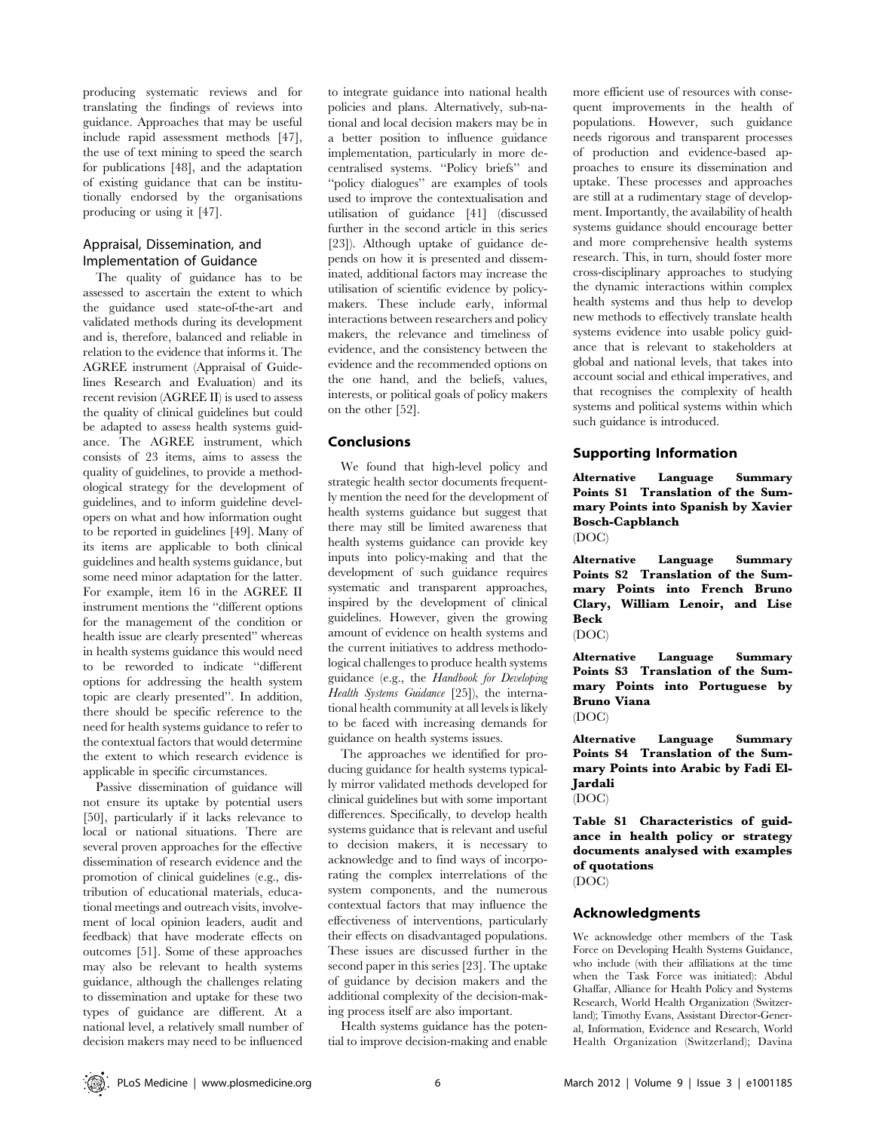producing systematic reviews and for translating the findings of reviews into guidance. Approaches that may be useful include rapid assessment methods [47], the use of text mining to speed the search for publications [48], and the adaptation of existing guidance that can be institutionally endorsed by the organisations producing or using it [47].

## Appraisal, Dissemination, and Implementation of Guidance

The quality of guidance has to be assessed to ascertain the extent to which the guidance used state-of-the-art and validated methods during its development and is, therefore, balanced and reliable in relation to the evidence that informs it. The AGREE instrument (Appraisal of Guidelines Research and Evaluation) and its recent revision (AGREE II) is used to assess the quality of clinical guidelines but could be adapted to assess health systems guidance. The AGREE instrument, which consists of 23 items, aims to assess the quality of guidelines, to provide a methodological strategy for the development of guidelines, and to inform guideline developers on what and how information ought to be reported in guidelines [49]. Many of its items are applicable to both clinical guidelines and health systems guidance, but some need minor adaptation for the latter. For example, item 16 in the AGREE II instrument mentions the ''different options for the management of the condition or health issue are clearly presented'' whereas in health systems guidance this would need to be reworded to indicate ''different options for addressing the health system topic are clearly presented''. In addition, there should be specific reference to the need for health systems guidance to refer to the contextual factors that would determine the extent to which research evidence is applicable in specific circumstances.

Passive dissemination of guidance will not ensure its uptake by potential users [50], particularly if it lacks relevance to local or national situations. There are several proven approaches for the effective dissemination of research evidence and the promotion of clinical guidelines (e.g., distribution of educational materials, educational meetings and outreach visits, involvement of local opinion leaders, audit and feedback) that have moderate effects on outcomes [51]. Some of these approaches may also be relevant to health systems guidance, although the challenges relating to dissemination and uptake for these two types of guidance are different. At a national level, a relatively small number of decision makers may need to be influenced to integrate guidance into national health policies and plans. Alternatively, sub-national and local decision makers may be in a better position to influence guidance implementation, particularly in more decentralised systems. ''Policy briefs'' and ''policy dialogues'' are examples of tools used to improve the contextualisation and utilisation of guidance [41] (discussed further in the second article in this series [23]). Although uptake of guidance depends on how it is presented and disseminated, additional factors may increase the utilisation of scientific evidence by policymakers. These include early, informal interactions between researchers and policy makers, the relevance and timeliness of evidence, and the consistency between the evidence and the recommended options on the one hand, and the beliefs, values, interests, or political goals of policy makers on the other [52].

## Conclusions

We found that high-level policy and strategic health sector documents frequently mention the need for the development of health systems guidance but suggest that there may still be limited awareness that health systems guidance can provide key inputs into policy-making and that the development of such guidance requires systematic and transparent approaches, inspired by the development of clinical guidelines. However, given the growing amount of evidence on health systems and the current initiatives to address methodological challenges to produce health systems guidance (e.g., the Handbook for Developing Health Systems Guidance [25]), the international health community at all levels is likely to be faced with increasing demands for guidance on health systems issues.

The approaches we identified for producing guidance for health systems typically mirror validated methods developed for clinical guidelines but with some important differences. Specifically, to develop health systems guidance that is relevant and useful to decision makers, it is necessary to acknowledge and to find ways of incorporating the complex interrelations of the system components, and the numerous contextual factors that may influence the effectiveness of interventions, particularly their effects on disadvantaged populations. These issues are discussed further in the second paper in this series [23]. The uptake of guidance by decision makers and the additional complexity of the decision-making process itself are also important.

Health systems guidance has the potential to improve decision-making and enable more efficient use of resources with consequent improvements in the health of populations. However, such guidance needs rigorous and transparent processes of production and evidence-based approaches to ensure its dissemination and uptake. These processes and approaches are still at a rudimentary stage of development. Importantly, the availability of health systems guidance should encourage better and more comprehensive health systems research. This, in turn, should foster more cross-disciplinary approaches to studying the dynamic interactions within complex health systems and thus help to develop new methods to effectively translate health systems evidence into usable policy guidance that is relevant to stakeholders at global and national levels, that takes into account social and ethical imperatives, and that recognises the complexity of health systems and political systems within which such guidance is introduced.

## Supporting Information

Alternative Language Summary Points S1 Translation of the Summary Points into Spanish by Xavier Bosch-Capblanch (DOC)

Alternative Language Summary Points S2 Translation of the Summary Points into French Bruno Clary, William Lenoir, and Lise Beck (DOC)

Alternative Language Summary Points S3 Translation of the Summary Points into Portuguese by Bruno Viana (DOC)

Alternative Language Summary Points S4 Translation of the Summary Points into Arabic by Fadi El-Jardali (DOC)

Table S1 Characteristics of guidance in health policy or strategy documents analysed with examples of quotations (DOC)

## Acknowledgments

We acknowledge other members of the Task Force on Developing Health Systems Guidance, who include (with their affiliations at the time when the Task Force was initiated): Abdul Ghaffar, Alliance for Health Policy and Systems Research, World Health Organization (Switzerland); Timothy Evans, Assistant Director-General, Information, Evidence and Research, World Health Organization (Switzerland); Davina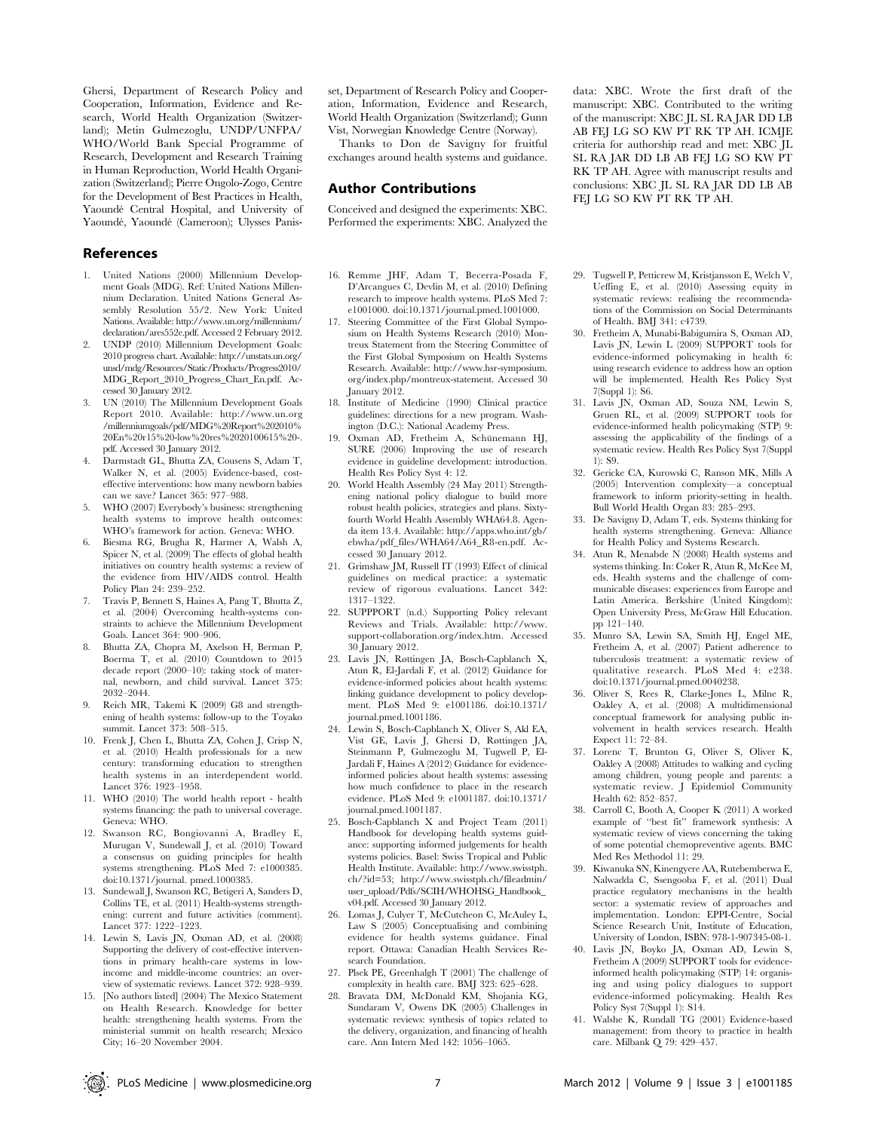Ghersi, Department of Research Policy and Cooperation, Information, Evidence and Research, World Health Organization (Switzerland); Metin Gulmezoglu, UNDP/UNFPA/ WHO/World Bank Special Programme of Research, Development and Research Training in Human Reproduction, World Health Organization (Switzerland); Pierre Ongolo-Zogo, Centre for the Development of Best Practices in Health, Yaoundé Central Hospital, and University of Yaoundé, Yaoundé (Cameroon); Ulysses Panis-

#### References

- 1. United Nations (2000) Millennium Development Goals (MDG). Ref: United Nations Millennium Declaration. United Nations General Assembly Resolution 55/2. New York: United Nations. Available: http://www.un.org/millennium/ declaration/ares552e.pdf. Accessed 2 February 2012.
- 2. UNDP (2010) Millennium Development Goals: 2010 progress chart. Available: http://unstats.un.org/ unsd/mdg/Resources/Static/Products/Progress2010/ MDG\_Report\_2010\_Progress\_Chart\_En.pdf. Accessed 30 January 2012.
- 3. UN (2010) The Millennium Development Goals Report 2010. Available: http://www.un.org /millenniumgoals/pdf/MDG%20Report%202010% 20En%20r15%20-low%20res%2020100615%20-. pdf. Accessed 30 January 2012.
- 4. Darmstadt GL, Bhutta ZA, Cousens S, Adam T, Walker N, et al. (2005) Evidence-based, costeffective interventions: how many newborn babies can we save? Lancet 365: 977–988.
- 5. WHO (2007) Everybody's business: strengthening health systems to improve health outcomes: WHO's framework for action. Geneva: WHO.
- 6. Biesma RG, Brugha R, Harmer A, Walsh A, Spicer N, et al. (2009) The effects of global health initiatives on country health systems: a review of the evidence from HIV/AIDS control. Health Policy Plan 24: 239–252.
- 7. Travis P, Bennett S, Haines A, Pang T, Bhutta Z, et al. (2004) Overcoming health-systems constraints to achieve the Millennium Development Goals. Lancet 364: 900–906.
- 8. Bhutta ZA, Chopra M, Axelson H, Berman P, Boerma T, et al. (2010) Countdown to 2015 decade report (2000–10): taking stock of maternal, newborn, and child survival. Lancet 375: 2032–2044.
- 9. Reich MR, Takemi K (2009) G8 and strengthening of health systems: follow-up to the Toyako summit. Lancet 373: 508–515.
- 10. Frenk J, Chen L, Bhutta ZA, Cohen J, Crisp N, et al. (2010) Health professionals for a new century: transforming education to strengthen health systems in an interdependent world. Lancet 376: 1923–1958.
- 11. WHO (2010) The world health report health systems financing: the path to universal coverage. Geneva: WHO.
- 12. Swanson RC, Bongiovanni A, Bradley E, Murugan V, Sundewall J, et al. (2010) Toward a consensus on guiding principles for health systems strengthening. PLoS Med 7: e1000385. doi:10.1371/journal. pmed.1000385.
- 13. Sundewall J, Swanson RC, Betigeri A, Sanders D, Collins TE, et al. (2011) Health-systems strengthening: current and future activities (comment). Lancet 377: 1222–1223.
- 14. Lewin S, Lavis JN, Oxman AD, et al. (2008) Supporting the delivery of cost-effective interventions in primary health-care systems in lowincome and middle-income countries: an overview of systematic reviews. Lancet 372: 928–939.
- 15. [No authors listed] (2004) The Mexico Statement on Health Research. Knowledge for better health: strengthening health systems. From the ministerial summit on health research; Mexico City; 16–20 November 2004.

set, Department of Research Policy and Cooperation, Information, Evidence and Research, World Health Organization (Switzerland); Gunn Vist, Norwegian Knowledge Centre (Norway).

Thanks to Don de Savigny for fruitful exchanges around health systems and guidance.

### Author Contributions

Conceived and designed the experiments: XBC. Performed the experiments: XBC. Analyzed the

- 16. Remme JHF, Adam T, Becerra-Posada F, D'Arcangues C, Devlin M, et al. (2010) Defining research to improve health systems. PLoS Med 7: e1001000. doi:10.1371/journal.pmed.1001000.
- 17. Steering Committee of the First Global Symposium on Health Systems Research (2010) Montreux Statement from the Steering Committee of the First Global Symposium on Health Systems Research. Available: http://www.hsr-symposium. org/index.php/montreux-statement. Accessed 30 January 2012.
- 18. Institute of Medicine (1990) Clinical practice guidelines: directions for a new program. Washington (D.C.): National Academy Press.
- 19. Oxman AD, Fretheim A, Schünemann HI, SURE (2006) Improving the use of research evidence in guideline development: introduction. Health Res Policy Syst 4: 12.
- 20. World Health Assembly (24 May 2011) Strengthening national policy dialogue to build more robust health policies, strategies and plans. Sixtyfourth World Health Assembly WHA64.8. Agenda item 13.4. Available: http://apps.who.int/gb/ ebwha/pdf\_files/WHA64/A64\_R8-en.pdf. Accessed 30 January 2012.
- 21. Grimshaw JM, Russell IT (1993) Effect of clinical guidelines on medical practice: a systematic review of rigorous evaluations. Lancet 342: 1317–1322.
- 22. SUPPPORT (n.d.) Supporting Policy relevant Reviews and Trials. Available: http://www. support-collaboration.org/index.htm. Accessed 30 January 2012.
- 23. Lavis JN, Røttingen JA, Bosch-Capblanch X, Atun R, El-Jardali F, et al. (2012) Guidance for evidence-informed policies about health systems: linking guidance development to policy development. PLoS Med 9: e1001186. doi:10.1371/ journal.pmed.1001186.
- 24. Lewin S, Bosch-Capblanch X, Oliver S, Akl EA, Vist GE, Lavis J, Ghersi D, Røttingen JA, Steinmann P, Gulmezoglu M, Tugwell P, El-Jardali F, Haines A (2012) Guidance for evidenceinformed policies about health systems: assessing how much confidence to place in the research evidence. PLoS Med 9: e1001187. doi:10.1371/ journal.pmed.1001187.
- 25. Bosch-Capblanch X and Project Team (2011) Handbook for developing health systems guidance: supporting informed judgements for health systems policies. Basel: Swiss Tropical and Public Health Institute. Available: http://www.swisstph. ch/?id=53; http://www.swisstph.ch/fileadmin/ user\_upload/Pdfs/SCIH/WHOHSG\_Handbook\_ v04.pdf. Accessed 30 January 2012.
- 26. Lomas J, Culyer T, McCutcheon C, McAuley L, Law S (2005) Conceptualising and combining evidence for health systems guidance. Final report. Ottawa: Canadian Health Services Research Foundation.
- 27. Plsek PE, Greenhalgh T (2001) The challenge of complexity in health care. BMJ 323: 625–628.
- 28. Bravata DM, McDonald KM, Shojania KG, Sundaram V, Owens DK (2005) Challenges in systematic reviews: synthesis of topics related to the delivery, organization, and financing of health care. Ann Intern Med 142: 1056–1065.

data: XBC. Wrote the first draft of the manuscript: XBC. Contributed to the writing of the manuscript: XBC JL SL RA JAR DD LB AB FEJ LG SO KW PT RK TP AH. ICMJE criteria for authorship read and met: XBC JL SL RA JAR DD LB AB FEJ LG SO KW PT RK TP AH. Agree with manuscript results and conclusions: XBC JL SL RA JAR DD LB AB FEJ LG SO KW PT RK TP AH.

- 29. Tugwell P, Petticrew M, Kristjansson E, Welch V, Ueffing E, et al. (2010) Assessing equity in systematic reviews: realising the recommendations of the Commission on Social Determinants of Health. BMJ 341: c4739.
- 30. Fretheim A, Munabi-Babigumira S, Oxman AD, Lavis JN, Lewin L (2009) SUPPORT tools for evidence-informed policymaking in health 6: using research evidence to address how an option will be implemented. Health Res Policy Syst 7(Suppl 1): S6.
- 31. Lavis JN, Oxman AD, Souza NM, Lewin S, Gruen RL, et al. (2009) SUPPORT tools for evidence-informed health policymaking (STP) 9: assessing the applicability of the findings of a systematic review. Health Res Policy Syst 7(Suppl 1): S9.
- 32. Gericke CA, Kurowski C, Ranson MK, Mills A (2005) Intervention complexity—a conceptual framework to inform priority-setting in health. Bull World Health Organ 83: 285–293.
- 33. De Savigny D, Adam T, eds. Systems thinking for health systems strengthening. Geneva: Alliance for Health Policy and Systems Research.
- 34. Atun R, Menabde N (2008) Health systems and systems thinking. In: Coker R, Atun R, McKee M, eds. Health systems and the challenge of communicable diseases: experiences from Europe and Latin America. Berkshire (United Kingdom): Open University Press, McGraw Hill Education. pp 121–140.
- 35. Munro SA, Lewin SA, Smith HJ, Engel ME, Fretheim A, et al. (2007) Patient adherence to tuberculosis treatment: a systematic review of qualitative research. PLoS Med 4: e238. doi:10.1371/journal.pmed.0040238.
- 36. Oliver S, Rees R, Clarke-Jones L, Milne R, Oakley A, et al. (2008) A multidimensional conceptual framework for analysing public involvement in health services research. Health Expect 11: 72–84.
- 37. Lorenc T, Brunton G, Oliver S, Oliver K, Oakley A (2008) Attitudes to walking and cycling among children, young people and parents: a systematic review. J Epidemiol Community Health 62: 852–857.
- 38. Carroll C, Booth A, Cooper K (2011) A worked example of ''best fit'' framework synthesis: A systematic review of views concerning the taking of some potential chemopreventive agents. BMC Med Res Methodol 11: 29.
- 39. Kiwanuka SN, Kinengyere AA, Rutebemberwa E, Nalwadda C, Ssengooba F, et al. (2011) Dual practice regulatory mechanisms in the health sector: a systematic review of approaches and implementation. London: EPPI-Centre, Social Science Research Unit, Institute of Education, University of London, ISBN: 978-1-907345-08-1.
- 40. Lavis JN, Boyko JA, Oxman AD, Lewin S, Fretheim A (2009) SUPPORT tools for evidenceinformed health policymaking (STP) 14: organising and using policy dialogues to support evidence-informed policymaking. Health Res Policy Syst 7(Suppl 1): S14.
- 41. Walshe K, Rundall TG (2001) Evidence-based management: from theory to practice in health care. Milbank Q 79: 429–457.